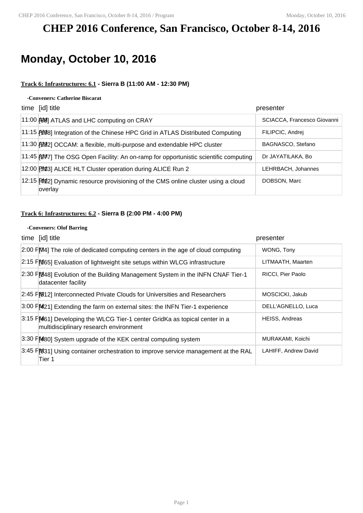# **CHEP 2016 Conference, San Francisco, October 8-14, 2016**

# **Monday, October 10, 2016**

#### **Track 6: Infrastructures: 6.1 - Sierra B (11:00 AM - 12:30 PM)**

#### **-Conveners: Catherine Biscarat**

| time [id] title                                                                             | presenter                   |
|---------------------------------------------------------------------------------------------|-----------------------------|
| 11:00 88 ATLAS and LHC computing on CRAY                                                    | SCIACCA, Francesco Giovanni |
| 11:15 [498] Integration of the Chinese HPC Grid in ATLAS Distributed Computing              | FILIPCIC, Andrei            |
| 11:30 [2022] OCCAM: a flexible, multi-purpose and extendable HPC cluster                    | BAGNASCO, Stefano           |
| 11:45 AM7] The OSG Open Facility: An on-ramp for opportunistic scientific computing         | Dr JAYATILAKA, Bo           |
| 12:00 313] ALICE HLT Cluster operation during ALICE Run 2                                   | LEHRBACH, Johannes          |
| 12:15 PM2] Dynamic resource provisioning of the CMS online cluster using a cloud<br>overlay | DOBSON, Marc                |

### **Track 6: Infrastructures: 6.2 - Sierra B (2:00 PM - 4:00 PM)**

#### **-Conveners: Olof Barring**

| time [id] title                                                                                                      | presenter             |
|----------------------------------------------------------------------------------------------------------------------|-----------------------|
| $2.00$ $F[M4]$ The role of dedicated computing centers in the age of cloud computing                                 | WONG, Tony            |
| 2:15 FM65] Evaluation of lightweight site setups within WLCG infrastructure                                          | LITMAATH, Maarten     |
| 2:30 FM48] Evolution of the Building Management System in the INFN CNAF Tier-1<br>datacenter facility                | RICCI, Pier Paolo     |
| 2:45 FM 12] Interconnected Private Clouds for Universities and Researchers                                           | MOSCICKI, Jakub       |
| 3:00 FM21] Extending the farm on external sites: the INFN Tier-1 experience                                          | DELL'AGNELLO, Luca    |
| 3:15 FM61] Developing the WLCG Tier-1 center GridKa as topical center in a<br>multidisciplinary research environment | <b>HEISS, Andreas</b> |
| 3:30 FM80] System upgrade of the KEK central computing system                                                        | MURAKAMI, Koichi      |
| 3:45 FM31] Using container orchestration to improve service management at the RAL<br>Tier 1                          | LAHIFF, Andrew David  |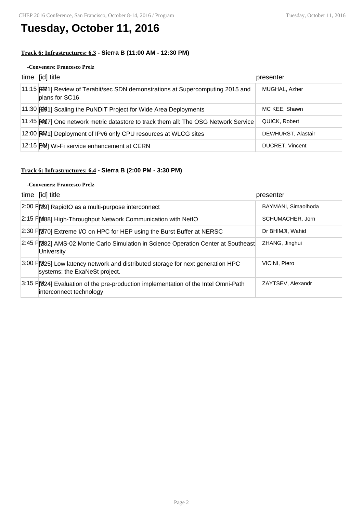## **Tuesday, October 11, 2016**

### **Track 6: Infrastructures: 6.3 - Sierra B (11:00 AM - 12:30 PM)**

#### **-Conveners: Francesco Prelz**

| time [id] title                                                                                   | presenter              |
|---------------------------------------------------------------------------------------------------|------------------------|
| 11:15 [201] Review of Terabit/sec SDN demonstrations at Supercomputing 2015 and<br>plans for SC16 | MUGHAL, Azher          |
| 11:30 [201] Scaling the PuNDIT Project for Wide Area Deployments                                  | MC KEE, Shawn          |
| 11:45 AM17] One network metric datastore to track them all: The OSG Network Service               | QUICK, Robert          |
| 12:00 [20] Deployment of IPv6 only CPU resources at WLCG sites                                    | DEWHURST, Alastair     |
| 12:15 [702] Wi-Fi service enhancement at CERN                                                     | <b>DUCRET, Vincent</b> |

## **Track 6: Infrastructures: 6.4 - Sierra B (2:00 PM - 3:30 PM)**

#### **-Conveners: Francesco Prelz**

| time [id] title                                                                                                  | presenter           |
|------------------------------------------------------------------------------------------------------------------|---------------------|
| 2:00 FM9] RapidIO as a multi-purpose interconnect                                                                | BAYMANI, Simaolhoda |
| 2:15 FM488] High-Throughput Network Communication with NetIO                                                     | SCHUMACHER, Jorn    |
| 2:30 FM70] Extreme I/O on HPC for HEP using the Burst Buffer at NERSC                                            | Dr BHIMJI, Wahid    |
| 2:45 FM82] AMS-02 Monte Carlo Simulation in Science Operation Center at Southeast<br><b>University</b>           | ZHANG, Jinghui      |
| 3:00 F 025] Low latency network and distributed storage for next generation HPC<br>systems: the ExaNeSt project. | VICINI, Piero       |
| 3:15 PM 24] Evaluation of the pre-production implementation of the Intel Omni-Path<br>interconnect technology    | ZAYTSEV, Alexandr   |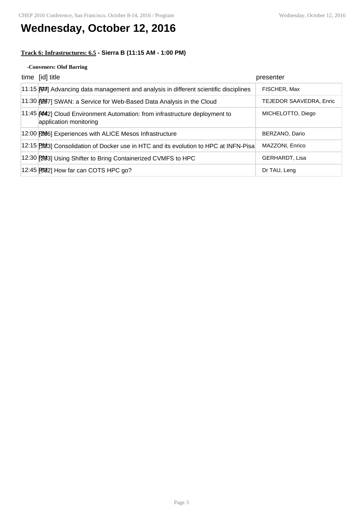# **Wednesday, October 12, 2016**

### **Track 6: Infrastructures: 6.5 - Sierra B (11:15 AM - 1:00 PM)**

#### **-Conveners: Olof Barring**

| time [id] title                                                                                      | presenter               |
|------------------------------------------------------------------------------------------------------|-------------------------|
| 11:15 (97) Advancing data management and analysis in different scientific disciplines                | FISCHER, Max            |
| 11:30 [20] SWAN: a Service for Web-Based Data Analysis in the Cloud                                  | TEJEDOR SAAVEDRA, Enric |
| 11:45 AM2] Cloud Environment Automation: from infrastructure deployment to<br>application monitoring | MICHELOTTO, Diego       |
| 12:00 [206] Experiences with ALICE Mesos Infrastructure                                              | BERZANO, Dario          |
| 12:15 [30] Consolidation of Docker use in HTC and its evolution to HPC at INFN-Pisa                  | MAZZONI, Enrico         |
| 12:30 [293] Using Shifter to Bring Containerized CVMFS to HPC                                        | <b>GERHARDT, Lisa</b>   |
| 12:45 [692] How far can COTS HPC go?                                                                 | Dr TAU, Leng            |